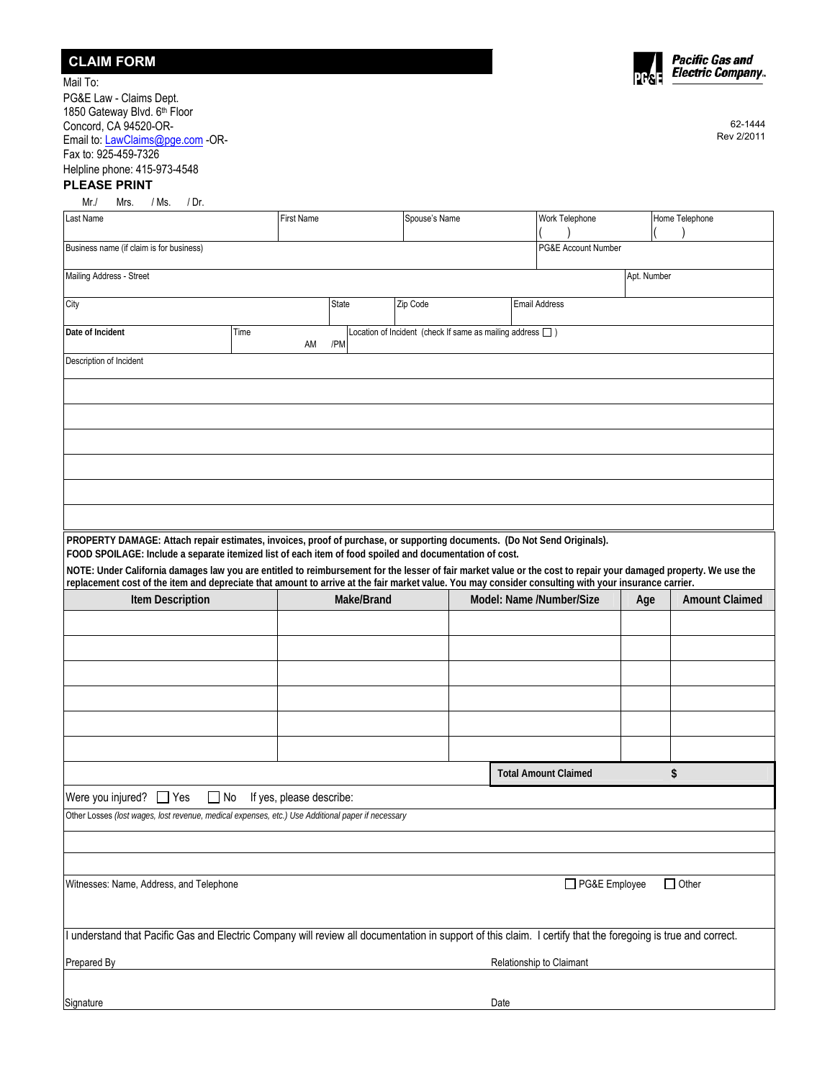| <b>CLAIM FORM</b> |
|-------------------|
|-------------------|



62-1444 Rev 2/2011

Mail To: PG&E Law - Claims Dept. 1850 Gateway Blvd. 6<sup>th</sup> Floor Concord, CA 94520-OR-Email to: [LawClaims@pge.com](mailto:LawClaims@pge.com) -OR-Fax to: 925-459-7326 Helpline phone: 415-973-4548

## **PLEASE PRINT**

| Mr./<br>Mrs.<br>/ Ms.<br>/ Dr.                                                                                                                                                                                                                                                                                                                                                                          |      |                          |       |            |                                                                 |      |                             |             |                       |
|---------------------------------------------------------------------------------------------------------------------------------------------------------------------------------------------------------------------------------------------------------------------------------------------------------------------------------------------------------------------------------------------------------|------|--------------------------|-------|------------|-----------------------------------------------------------------|------|-----------------------------|-------------|-----------------------|
| Last Name                                                                                                                                                                                                                                                                                                                                                                                               |      | <b>First Name</b>        |       |            | Spouse's Name                                                   |      | Work Telephone              |             | Home Telephone        |
|                                                                                                                                                                                                                                                                                                                                                                                                         |      |                          |       |            |                                                                 |      |                             |             |                       |
| Business name (if claim is for business)                                                                                                                                                                                                                                                                                                                                                                |      |                          |       |            |                                                                 |      | PG&E Account Number         |             |                       |
| Mailing Address - Street                                                                                                                                                                                                                                                                                                                                                                                |      |                          |       |            |                                                                 |      |                             | Apt. Number |                       |
| City                                                                                                                                                                                                                                                                                                                                                                                                    |      |                          | State |            | Zip Code                                                        |      | <b>Email Address</b>        |             |                       |
| Date of Incident                                                                                                                                                                                                                                                                                                                                                                                        | Time | AM                       | /PM   |            | Location of Incident (check If same as mailing address $\Box$ ) |      |                             |             |                       |
| Description of Incident                                                                                                                                                                                                                                                                                                                                                                                 |      |                          |       |            |                                                                 |      |                             |             |                       |
|                                                                                                                                                                                                                                                                                                                                                                                                         |      |                          |       |            |                                                                 |      |                             |             |                       |
|                                                                                                                                                                                                                                                                                                                                                                                                         |      |                          |       |            |                                                                 |      |                             |             |                       |
|                                                                                                                                                                                                                                                                                                                                                                                                         |      |                          |       |            |                                                                 |      |                             |             |                       |
|                                                                                                                                                                                                                                                                                                                                                                                                         |      |                          |       |            |                                                                 |      |                             |             |                       |
|                                                                                                                                                                                                                                                                                                                                                                                                         |      |                          |       |            |                                                                 |      |                             |             |                       |
|                                                                                                                                                                                                                                                                                                                                                                                                         |      |                          |       |            |                                                                 |      |                             |             |                       |
| PROPERTY DAMAGE: Attach repair estimates, invoices, proof of purchase, or supporting documents. (Do Not Send Originals).<br>FOOD SPOILAGE: Include a separate itemized list of each item of food spoiled and documentation of cost.<br>NOTE: Under California damages law you are entitled to reimbursement for the lesser of fair market value or the cost to repair your damaged property. We use the |      |                          |       |            |                                                                 |      |                             |             |                       |
| replacement cost of the item and depreciate that amount to arrive at the fair market value. You may consider consulting with your insurance carrier.                                                                                                                                                                                                                                                    |      |                          |       |            |                                                                 |      |                             |             |                       |
| <b>Item Description</b>                                                                                                                                                                                                                                                                                                                                                                                 |      |                          |       | Make/Brand |                                                                 |      | Model: Name /Number/Size    | Age         | <b>Amount Claimed</b> |
|                                                                                                                                                                                                                                                                                                                                                                                                         |      |                          |       |            |                                                                 |      |                             |             |                       |
|                                                                                                                                                                                                                                                                                                                                                                                                         |      |                          |       |            |                                                                 |      |                             |             |                       |
|                                                                                                                                                                                                                                                                                                                                                                                                         |      |                          |       |            |                                                                 |      |                             |             |                       |
|                                                                                                                                                                                                                                                                                                                                                                                                         |      |                          |       |            |                                                                 |      |                             |             |                       |
|                                                                                                                                                                                                                                                                                                                                                                                                         |      |                          |       |            |                                                                 |      |                             |             |                       |
|                                                                                                                                                                                                                                                                                                                                                                                                         |      |                          |       |            |                                                                 |      |                             |             |                       |
|                                                                                                                                                                                                                                                                                                                                                                                                         |      |                          |       |            |                                                                 |      |                             |             |                       |
|                                                                                                                                                                                                                                                                                                                                                                                                         |      |                          |       |            |                                                                 |      | <b>Total Amount Claimed</b> |             | \$                    |
| Were you injured? $\Box$ Yes<br>$\Box$ No                                                                                                                                                                                                                                                                                                                                                               |      | If yes, please describe: |       |            |                                                                 |      |                             |             |                       |
| Other Losses (lost wages, lost revenue, medical expenses, etc.) Use Additional paper if necessary                                                                                                                                                                                                                                                                                                       |      |                          |       |            |                                                                 |      |                             |             |                       |
|                                                                                                                                                                                                                                                                                                                                                                                                         |      |                          |       |            |                                                                 |      |                             |             |                       |
|                                                                                                                                                                                                                                                                                                                                                                                                         |      |                          |       |            |                                                                 |      |                             |             |                       |
| Witnesses: Name, Address, and Telephone                                                                                                                                                                                                                                                                                                                                                                 |      |                          |       |            |                                                                 |      | □ PG&E Employee             |             | $\Box$ Other          |
| I understand that Pacific Gas and Electric Company will review all documentation in support of this claim. I certify that the foregoing is true and correct.                                                                                                                                                                                                                                            |      |                          |       |            |                                                                 |      |                             |             |                       |
| Prepared By                                                                                                                                                                                                                                                                                                                                                                                             |      |                          |       |            |                                                                 |      | Relationship to Claimant    |             |                       |
|                                                                                                                                                                                                                                                                                                                                                                                                         |      |                          |       |            |                                                                 |      |                             |             |                       |
| Signature                                                                                                                                                                                                                                                                                                                                                                                               |      |                          |       |            |                                                                 | Date |                             |             |                       |